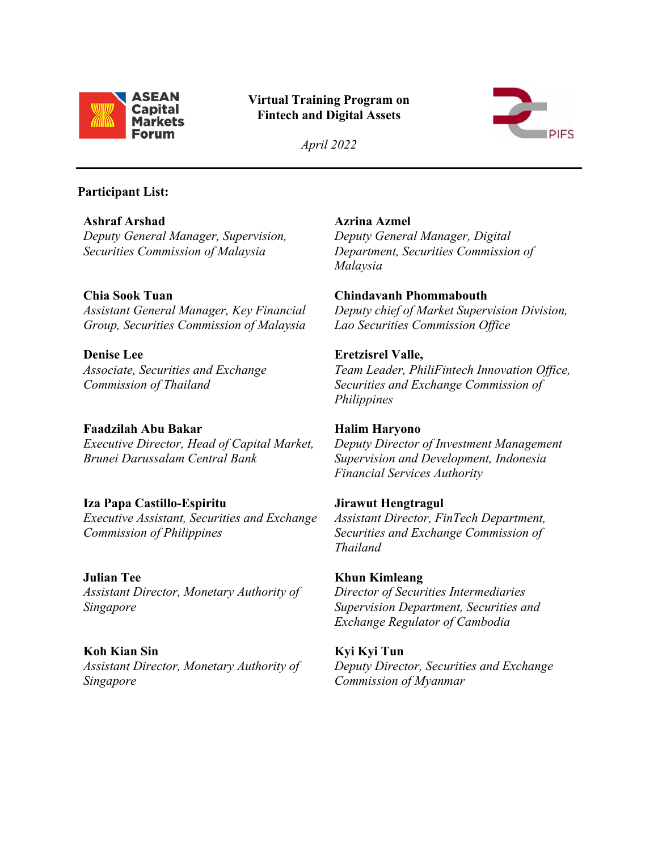

# **Virtual Training Program on Fintech and Digital Assets**



*April 2022*

#### **Participant List:**

**Ashraf Arshad** *Deputy General Manager, Supervision, Securities Commission of Malaysia*

## **Chia Sook Tuan**

*Assistant General Manager, Key Financial Group, Securities Commission of Malaysia*

**Denise Lee** *Associate, Securities and Exchange Commission of Thailand*

### **Faadzilah Abu Bakar**

*Executive Director, Head of Capital Market, Brunei Darussalam Central Bank* 

# **Iza Papa Castillo-Espiritu**

*Executive Assistant, Securities and Exchange Commission of Philippines*

#### **Julian Tee**

*Assistant Director, Monetary Authority of Singapore*

#### **Koh Kian Sin**

*Assistant Director, Monetary Authority of Singapore*

**Azrina Azmel** *Deputy General Manager, Digital Department, Securities Commission of Malaysia*

#### **Chindavanh Phommabouth**

*Deputy chief of Market Supervision Division, Lao Securities Commission Office*

#### **Eretzisrel Valle,**

*Team Leader, PhiliFintech Innovation Office, Securities and Exchange Commission of Philippines*

# **Halim Haryono**

*Deputy Director of Investment Management Supervision and Development, Indonesia Financial Services Authority*

#### **Jirawut Hengtragul**

*Assistant Director, FinTech Department, Securities and Exchange Commission of Thailand*

# **Khun Kimleang**

*Director of Securities Intermediaries Supervision Department, Securities and Exchange Regulator of Cambodia* 

# **Kyi Kyi Tun**

*Deputy Director, Securities and Exchange Commission of Myanmar*